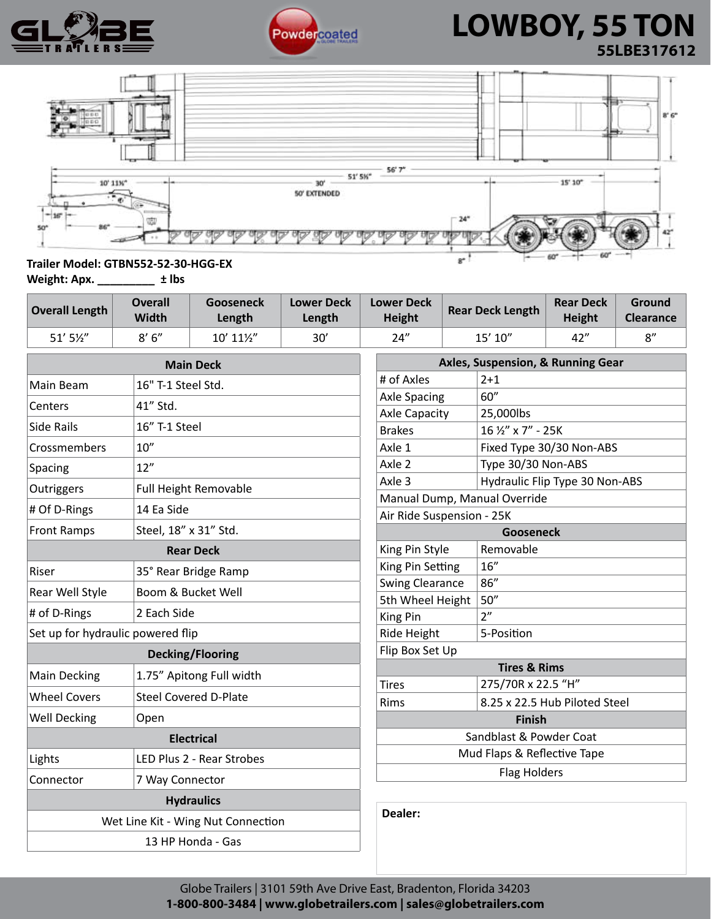



# **LOWBOY, 55 TON 55LBE317612**



#### **Trailer Model: GTBN552-52-30-HGG-EX**

**Weight: Apx. \_\_\_\_\_\_\_\_\_ ± lbs**

| <b>Overall Length</b> | <b>Overall</b><br><b>Width</b> | Gooseneck<br>Length | <b>Lower Deck</b><br>Length | <b>Lower Deck</b><br><b>Height</b> | <b>Rear Deck Length</b> | <b>Rear Deck</b><br>Height | Ground<br><b>Clearance</b> |
|-----------------------|--------------------------------|---------------------|-----------------------------|------------------------------------|-------------------------|----------------------------|----------------------------|
| $51'$ 5 $\frac{1}{2}$ | 8'6''                          | 10' 111/2"          | 30'                         | 24"                                | 15' 10"                 | 42"                        | $\mathsf{R}''$             |

|                                                 | <b>Main Deck</b>                   | Axles, Suspension, & Running Gear |                                |  |  |
|-------------------------------------------------|------------------------------------|-----------------------------------|--------------------------------|--|--|
| Main Beam                                       | 16" T-1 Steel Std.                 | # of Axles                        | $2 + 1$                        |  |  |
| Centers                                         | 41" Std.                           | <b>Axle Spacing</b>               | 60"                            |  |  |
|                                                 |                                    | <b>Axle Capacity</b>              | 25,000lbs                      |  |  |
| <b>Side Rails</b>                               | 16" T-1 Steel                      | <b>Brakes</b>                     | 16 1/2" x 7" - 25K             |  |  |
| Crossmembers                                    | 10''                               | Axle 1                            | Fixed Type 30/30 Non-ABS       |  |  |
| Spacing                                         | 12"                                | Axle 2                            | Type 30/30 Non-ABS             |  |  |
| Outriggers                                      | <b>Full Height Removable</b>       | Axle <sub>3</sub>                 | Hydraulic Flip Type 30 Non-ABS |  |  |
|                                                 |                                    | Manual Dump, Manual Override      |                                |  |  |
| # Of D-Rings<br>14 Ea Side                      |                                    | Air Ride Suspension - 25K         |                                |  |  |
| Steel, 18" x 31" Std.<br><b>Front Ramps</b>     |                                    | <b>Gooseneck</b>                  |                                |  |  |
|                                                 | <b>Rear Deck</b>                   | King Pin Style                    | Removable                      |  |  |
| Riser                                           | 35° Rear Bridge Ramp               | King Pin Setting                  | 16''                           |  |  |
| Rear Well Style                                 | Boom & Bucket Well                 | <b>Swing Clearance</b>            | 86''                           |  |  |
|                                                 |                                    | 5th Wheel Height                  | 50''                           |  |  |
| # of D-Rings                                    | 2 Each Side                        | King Pin                          | 2 <sup>n</sup>                 |  |  |
| Set up for hydraulic powered flip               |                                    | Ride Height                       | 5-Position                     |  |  |
|                                                 | <b>Decking/Flooring</b>            | Flip Box Set Up                   |                                |  |  |
| 1.75" Apitong Full width<br><b>Main Decking</b> |                                    |                                   | <b>Tires &amp; Rims</b>        |  |  |
|                                                 |                                    | <b>Tires</b>                      | 275/70R x 22.5 "H"             |  |  |
| <b>Wheel Covers</b>                             | <b>Steel Covered D-Plate</b>       | Rims                              | 8.25 x 22.5 Hub Piloted Steel  |  |  |
| <b>Well Decking</b><br>Open                     |                                    | <b>Finish</b>                     |                                |  |  |
|                                                 | <b>Electrical</b>                  | Sandblast & Powder Coat           |                                |  |  |
| Lights                                          | LED Plus 2 - Rear Strobes          |                                   | Mud Flaps & Reflective Tape    |  |  |
| Connector<br>7 Way Connector                    |                                    | <b>Flag Holders</b>               |                                |  |  |
|                                                 | <b>Hydraulics</b>                  |                                   |                                |  |  |
|                                                 | Wet Line Kit - Wing Nut Connection | Dealer:                           |                                |  |  |
|                                                 | 13 HP Honda - Gas                  |                                   |                                |  |  |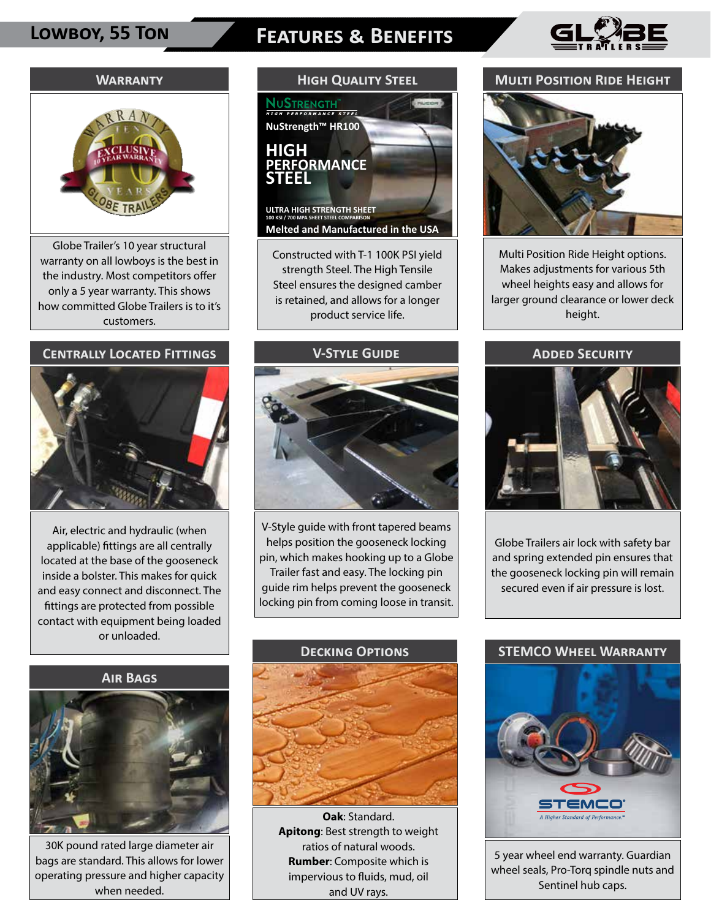# **Lowboy, 55 Ton Features & Benefits**



#### **Warranty**



Globe Trailer's 10 year structural warranty on all lowboys is the best in the industry. Most competitors offer only a 5 year warranty. This shows how committed Globe Trailers is to it's customers.

### **Centrally Located Fittings**



Air, electric and hydraulic (when applicable) fittings are all centrally located at the base of the gooseneck inside a bolster. This makes for quick and easy connect and disconnect. The fittings are protected from possible contact with equipment being loaded or unloaded.

#### **Air Bags**



30K pound rated large diameter air bags are standard. This allows for lower operating pressure and higher capacity when needed.

# **High Quality Steel**NuStrength **NuStrength™ HR100 HIGH FORMANCE STEEL ULTRA HIGH STRENGTH SHEET 100 KSI / 700 MPA SHEET STEEL COMPARISON**

**Melted and Manufactured in the USA**

Constructed with T-1 100K PSI yield strength Steel. The High Tensile Steel ensures the designed camber is retained, and allows for a longer product service life.

#### **V-Style Guide**



V-Style guide with front tapered beams helps position the gooseneck locking pin, which makes hooking up to a Globe Trailer fast and easy. The locking pin guide rim helps prevent the gooseneck locking pin from coming loose in transit.



 **Oak**: Standard. **Apitong**: Best strength to weight ratios of natural woods. **Rumber**: Composite which is impervious to fluids, mud, oil and UV rays.

#### **Multi Position Ride Height**



Multi Position Ride Height options. Makes adjustments for various 5th wheel heights easy and allows for larger ground clearance or lower deck height.

#### **Added Security**



Globe Trailers air lock with safety bar and spring extended pin ensures that the gooseneck locking pin will remain secured even if air pressure is lost.

### **STEMCO Wheel Warranty**



5 year wheel end warranty. Guardian wheel seals, Pro-Torq spindle nuts and Sentinel hub caps.